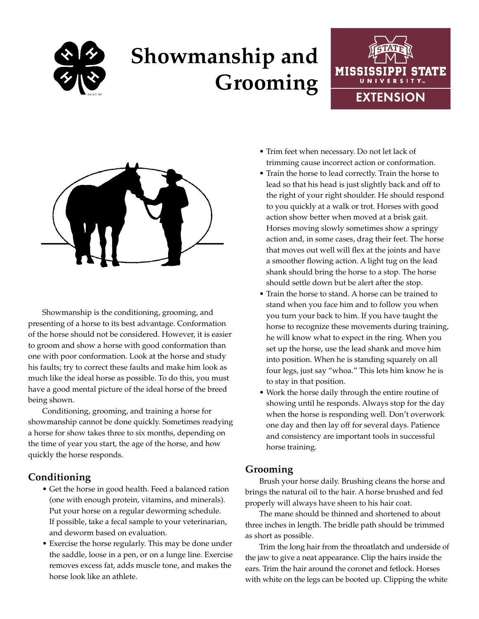

# **Showmanship and Grooming**





Showmanship is the conditioning, grooming, and presenting of a horse to its best advantage. Conformation of the horse should not be considered. However, it is easier to groom and show a horse with good conformation than one with poor conformation. Look at the horse and study his faults; try to correct these faults and make him look as much like the ideal horse as possible. To do this, you must have a good mental picture of the ideal horse of the breed being shown.

Conditioning, grooming, and training a horse for showmanship cannot be done quickly. Sometimes readying a horse for show takes three to six months, depending on the time of year you start, the age of the horse, and how quickly the horse responds.

## **Conditioning**

- Get the horse in good health. Feed a balanced ration (one with enough protein, vitamins, and minerals). Put your horse on a regular deworming schedule. If possible, take a fecal sample to your veterinarian, and deworm based on evaluation.
- Exercise the horse regularly. This may be done under the saddle, loose in a pen, or on a lunge line. Exercise removes excess fat, adds muscle tone, and makes the horse look like an athlete.
- Trim feet when necessary. Do not let lack of trimming cause incorrect action or conformation.
- Train the horse to lead correctly. Train the horse to lead so that his head is just slightly back and off to the right of your right shoulder. He should respond to you quickly at a walk or trot. Horses with good action show better when moved at a brisk gait. Horses moving slowly sometimes show a springy action and, in some cases, drag their feet. The horse that moves out well will flex at the joints and have a smoother flowing action. A light tug on the lead shank should bring the horse to a stop. The horse should settle down but be alert after the stop.
- Train the horse to stand. A horse can be trained to stand when you face him and to follow you when you turn your back to him. If you have taught the horse to recognize these movements during training, he will know what to expect in the ring. When you set up the horse, use the lead shank and move him into position. When he is standing squarely on all four legs, just say "whoa." This lets him know he is to stay in that position.
- Work the horse daily through the entire routine of showing until he responds. Always stop for the day when the horse is responding well. Don't overwork one day and then lay off for several days. Patience and consistency are important tools in successful horse training.

## **Grooming**

Brush your horse daily. Brushing cleans the horse and brings the natural oil to the hair. A horse brushed and fed properly will always have sheen to his hair coat.

The mane should be thinned and shortened to about three inches in length. The bridle path should be trimmed as short as possible.

Trim the long hair from the throatlatch and underside of the jaw to give a neat appearance. Clip the hairs inside the ears. Trim the hair around the coronet and fetlock. Horses with white on the legs can be booted up. Clipping the white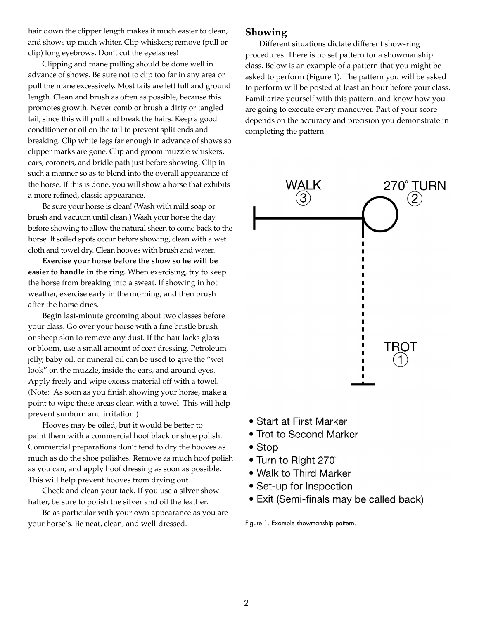hair down the clipper length makes it much easier to clean, and shows up much whiter. Clip whiskers; remove (pull or clip) long eyebrows. Don't cut the eyelashes!

Clipping and mane pulling should be done well in advance of shows. Be sure not to clip too far in any area or pull the mane excessively. Most tails are left full and ground length. Clean and brush as often as possible, because this promotes growth. Never comb or brush a dirty or tangled tail, since this will pull and break the hairs. Keep a good conditioner or oil on the tail to prevent split ends and breaking. Clip white legs far enough in advance of shows so clipper marks are gone. Clip and groom muzzle whiskers, ears, coronets, and bridle path just before showing. Clip in such a manner so as to blend into the overall appearance of the horse. If this is done, you will show a horse that exhibits a more refined, classic appearance.

Be sure your horse is clean! (Wash with mild soap or brush and vacuum until clean.) Wash your horse the day before showing to allow the natural sheen to come back to the horse. If soiled spots occur before showing, clean with a wet cloth and towel dry. Clean hooves with brush and water.

**Exercise your horse before the show so he will be easier to handle in the ring.** When exercising, try to keep the horse from breaking into a sweat. If showing in hot weather, exercise early in the morning, and then brush after the horse dries.

Begin last-minute grooming about two classes before your class. Go over your horse with a fine bristle brush or sheep skin to remove any dust. If the hair lacks gloss or bloom, use a small amount of coat dressing. Petroleum jelly, baby oil, or mineral oil can be used to give the "wet look" on the muzzle, inside the ears, and around eyes. Apply freely and wipe excess material off with a towel. (Note: As soon as you finish showing your horse, make a point to wipe these areas clean with a towel. This will help prevent sunburn and irritation.)

Hooves may be oiled, but it would be better to paint them with a commercial hoof black or shoe polish. Commercial preparations don't tend to dry the hooves as much as do the shoe polishes. Remove as much hoof polish as you can, and apply hoof dressing as soon as possible. This will help prevent hooves from drying out.

Check and clean your tack. If you use a silver show halter, be sure to polish the silver and oil the leather.

Be as particular with your own appearance as you are your horse's. Be neat, clean, and well-dressed.

#### **Showing**

Different situations dictate different show-ring procedures. There is no set pattern for a showmanship class. Below is an example of a pattern that you might be asked to perform (Figure 1). The pattern you will be asked to perform will be posted at least an hour before your class. Familiarize yourself with this pattern, and know how you are going to execute every maneuver. Part of your score depends on the accuracy and precision you demonstrate in completing the pattern.



- Start at First Marker
- Trot to Second Marker
- Stop
- Turn to Right 270 $^{\circ}$
- Walk to Third Marker
- Set-up for Inspection
- Exit (Semi-finals may be called back)

Figure 1. Example showmanship pattern.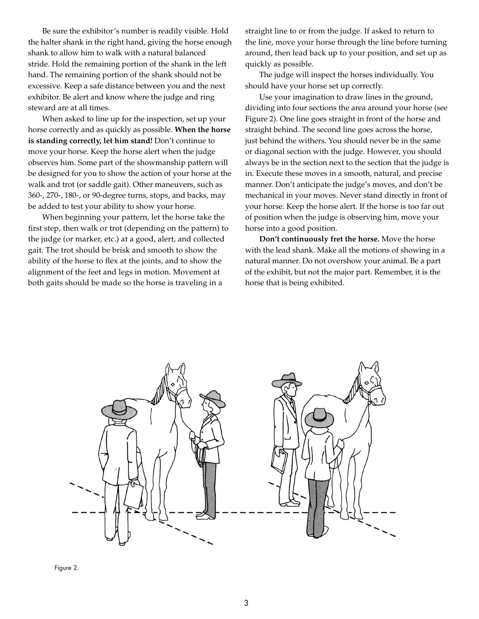Be sure the exhibitor's number is readily visible. Hold the halter shank in the right hand, giving the horse enough shank to allow him to walk with a natural balanced stride. Hold the remaining portion of the shank in the left hand. The remaining portion of the shank should not be excessive. Keep a safe distance between you and the next exhibitor. Be alert and know where the judge and ring steward are at all times.

When asked to line up for the inspection, set up your horse correctly and as quickly as possible. **When the horse is standing correctly, let him stand!** Don't continue to move your horse. Keep the horse alert when the judge observes him. Some part of the showmanship pattern will be designed for you to show the action of your horse at the walk and trot (or saddle gait). Other maneuvers, such as 360-, 270-, 180-, or 90-degree turns, stops, and backs, may be added to test your ability to show your horse.

When beginning your pattern, let the horse take the first step, then walk or trot (depending on the pattern) to the judge (or marker, etc.) at a good, alert, and collected gait. The trot should be brisk and smooth to show the ability of the horse to flex at the joints, and to show the alignment of the feet and legs in motion. Movement at both gaits should be made so the horse is traveling in a

straight line to or from the judge. If asked to return to the line, move your horse through the line before turning around, then lead back up to your position, and set up as quickly as possible.

The judge will inspect the horses individually. You should have your horse set up correctly.

Use your imagination to draw lines in the ground, dividing into four sections the area around your horse (see Figure 2). One line goes straight in front of the horse and straight behind. The second line goes across the horse, just behind the withers. You should never be in the same or diagonal section with the judge. However, you should always be in the section next to the section that the judge is in. Execute these moves in a smooth, natural, and precise manner. Don't anticipate the judge's moves, and don't be mechanical in your moves. Never stand directly in front of your horse. Keep the horse alert. If the horse is too far out of position when the judge is observing him, move your horse into a good position.

**Don't continuously fret the horse.** Move the horse with the lead shank. Make all the motions of showing in a natural manner. Do not overshow your animal. Be a part of the exhibit, but not the major part. Remember, it is the horse that is being exhibited.